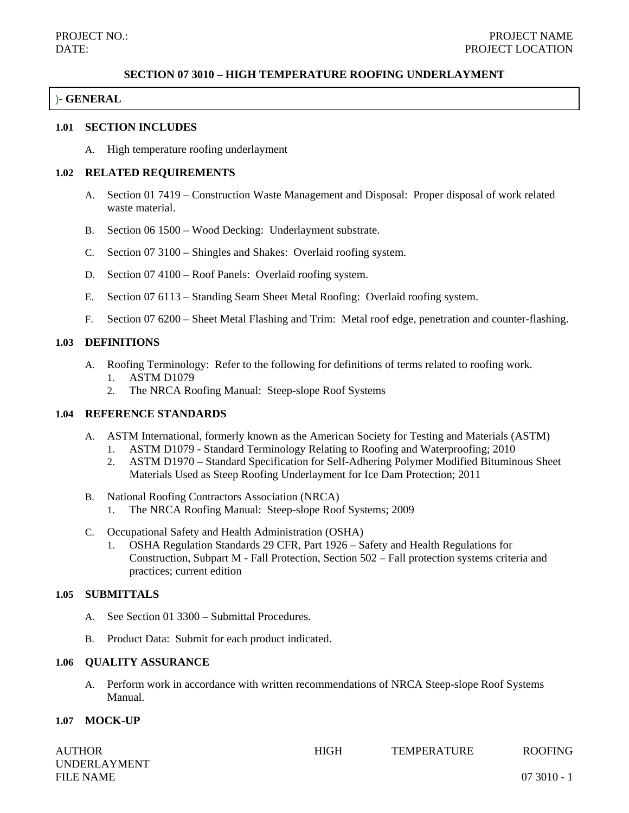#### **SECTION 07 3010 – HIGH TEMPERATURE ROOFING UNDERLAYMENT**

### )**- GENERAL**

#### **1.01 SECTION INCLUDES**

A. High temperature roofing underlayment

### **1.02 RELATED REQUIREMENTS**

- A. Section 01 7419 Construction Waste Management and Disposal: Proper disposal of work related waste material.
- B. Section 06 1500 Wood Decking: Underlayment substrate.
- C. Section 07 3100 Shingles and Shakes: Overlaid roofing system.
- D. Section 07 4100 Roof Panels: Overlaid roofing system.
- E. Section 07 6113 Standing Seam Sheet Metal Roofing: Overlaid roofing system.
- F. Section 07 6200 Sheet Metal Flashing and Trim: Metal roof edge, penetration and counter-flashing.

#### **1.03 DEFINITIONS**

- A. Roofing Terminology: Refer to the following for definitions of terms related to roofing work. 1. ASTM D1079
	- 2. The NRCA Roofing Manual: Steep-slope Roof Systems

### **1.04 REFERENCE STANDARDS**

- A. ASTM International, formerly known as the American Society for Testing and Materials (ASTM)
	- 1. ASTM D1079 Standard Terminology Relating to Roofing and Waterproofing; 2010
	- 2. ASTM D1970 Standard Specification for Self-Adhering Polymer Modified Bituminous Sheet Materials Used as Steep Roofing Underlayment for Ice Dam Protection; 2011
- B. National Roofing Contractors Association (NRCA)
	- 1. The NRCA Roofing Manual: Steep-slope Roof Systems; 2009
- C. Occupational Safety and Health Administration (OSHA)
	- 1. OSHA Regulation Standards 29 CFR, Part 1926 Safety and Health Regulations for Construction, Subpart M - Fall Protection, Section 502 – Fall protection systems criteria and practices; current edition

## **1.05 SUBMITTALS**

- A. See Section 01 3300 Submittal Procedures.
- B. Product Data: Submit for each product indicated.

### **1.06 QUALITY ASSURANCE**

A. Perform work in accordance with written recommendations of NRCA Steep-slope Roof Systems Manual.

#### **1.07 MOCK-UP**

| <b>AUTHOR</b>       | <b>HIGH</b> | <b>TEMPERATURE</b> | <b>ROOFING</b> |
|---------------------|-------------|--------------------|----------------|
| <b>UNDERLAYMENT</b> |             |                    |                |
| <b>FILE NAME</b>    |             |                    | $073010 -$     |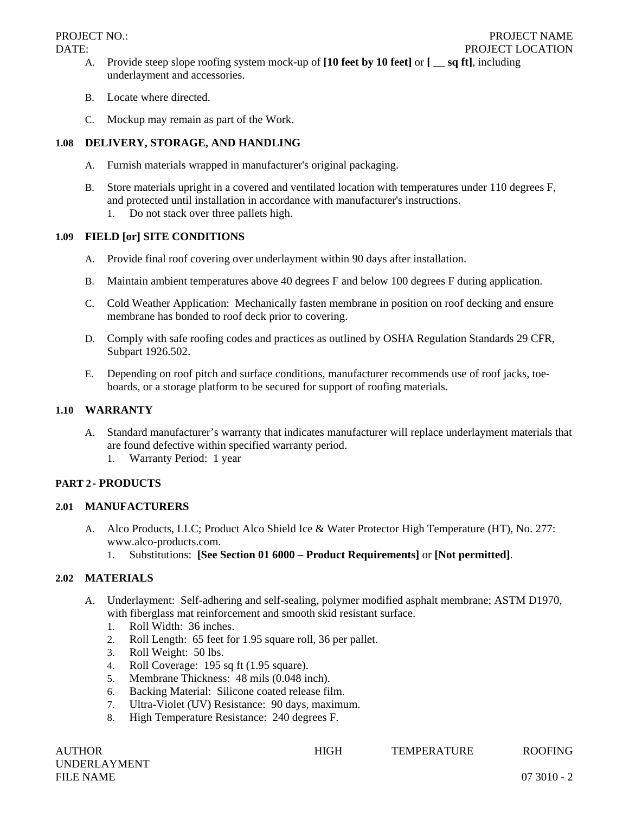- A. Provide steep slope roofing system mock-up of **[10 feet by 10 feet]** or **[ \_\_ sq ft]**, including underlayment and accessories.
- B. Locate where directed.
- C. Mockup may remain as part of the Work.

## **1.08 DELIVERY, STORAGE, AND HANDLING**

- A. Furnish materials wrapped in manufacturer's original packaging.
- B. Store materials upright in a covered and ventilated location with temperatures under 110 degrees F, and protected until installation in accordance with manufacturer's instructions.
	- 1. Do not stack over three pallets high.

## **1.09 FIELD [or] SITE CONDITIONS**

- A. Provide final roof covering over underlayment within 90 days after installation.
- B. Maintain ambient temperatures above 40 degrees F and below 100 degrees F during application.
- C. Cold Weather Application: Mechanically fasten membrane in position on roof decking and ensure membrane has bonded to roof deck prior to covering.
- D. Comply with safe roofing codes and practices as outlined by OSHA Regulation Standards 29 CFR, Subpart 1926.502.
- E. Depending on roof pitch and surface conditions, manufacturer recommends use of roof jacks, toeboards, or a storage platform to be secured for support of roofing materials.

# **1.10 WARRANTY**

- A. Standard manufacturer's warranty that indicates manufacturer will replace underlayment materials that are found defective within specified warranty period.
	- 1. Warranty Period: 1 year

# **PART 2- PRODUCTS**

## **2.01 MANUFACTURERS**

- A. Alco Products, LLC; Product Alco Shield Ice & Water Protector High Temperature (HT), No. 277: www.alco-products.com.
	- 1. Substitutions: **[See Section 01 6000 Product Requirements]** or **[Not permitted]**.

# **2.02 MATERIALS**

- A. Underlayment: Self-adhering and self-sealing, polymer modified asphalt membrane; ASTM D1970, with fiberglass mat reinforcement and smooth skid resistant surface.
	- 1. Roll Width: 36 inches.
	- 2. Roll Length: 65 feet for 1.95 square roll, 36 per pallet.
	- 3. Roll Weight: 50 lbs.
	- 4. Roll Coverage: 195 sq ft (1.95 square).
	- 5. Membrane Thickness: 48 mils (0.048 inch).
	- 6. Backing Material: Silicone coated release film.
	- 7. Ultra-Violet (UV) Resistance: 90 days, maximum.
	- 8. High Temperature Resistance: 240 degrees F.

UNDERLAYMENT FILE NAME 07 3010 - 2

AUTHOR HIGH TEMPERATURE ROOFING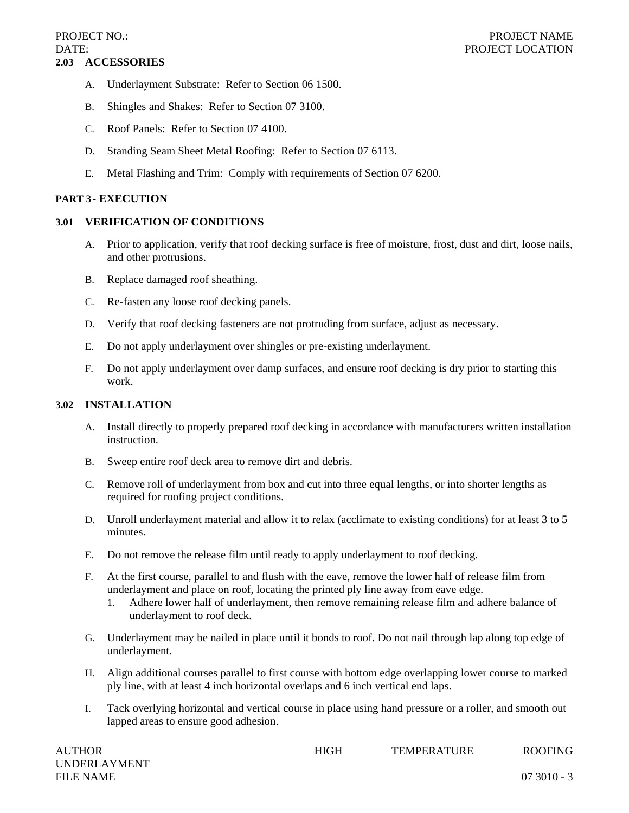- A. Underlayment Substrate: Refer to Section 06 1500.
- B. Shingles and Shakes: Refer to Section 07 3100.
- C. Roof Panels: Refer to Section 07 4100.
- D. Standing Seam Sheet Metal Roofing: Refer to Section 07 6113.
- E. Metal Flashing and Trim: Comply with requirements of Section 07 6200.

### **PART 3- EXECUTION**

## **3.01 VERIFICATION OF CONDITIONS**

- A. Prior to application, verify that roof decking surface is free of moisture, frost, dust and dirt, loose nails, and other protrusions.
- B. Replace damaged roof sheathing.
- C. Re-fasten any loose roof decking panels.
- D. Verify that roof decking fasteners are not protruding from surface, adjust as necessary.
- E. Do not apply underlayment over shingles or pre-existing underlayment.
- F. Do not apply underlayment over damp surfaces, and ensure roof decking is dry prior to starting this work.

## **3.02 INSTALLATION**

- A. Install directly to properly prepared roof decking in accordance with manufacturers written installation instruction.
- B. Sweep entire roof deck area to remove dirt and debris.
- C. Remove roll of underlayment from box and cut into three equal lengths, or into shorter lengths as required for roofing project conditions.
- D. Unroll underlayment material and allow it to relax (acclimate to existing conditions) for at least 3 to 5 minutes.
- E. Do not remove the release film until ready to apply underlayment to roof decking.
- F. At the first course, parallel to and flush with the eave, remove the lower half of release film from underlayment and place on roof, locating the printed ply line away from eave edge.
	- 1. Adhere lower half of underlayment, then remove remaining release film and adhere balance of underlayment to roof deck.
- G. Underlayment may be nailed in place until it bonds to roof. Do not nail through lap along top edge of underlayment.
- H. Align additional courses parallel to first course with bottom edge overlapping lower course to marked ply line, with at least 4 inch horizontal overlaps and 6 inch vertical end laps.
- I. Tack overlying horizontal and vertical course in place using hand pressure or a roller, and smooth out lapped areas to ensure good adhesion.

| <b>AUTHOR</b>       | <b>HIGH</b> | <b>TEMPERATURE</b> | <b>ROOFING</b> |
|---------------------|-------------|--------------------|----------------|
| <b>UNDERLAYMENT</b> |             |                    |                |
| <b>FILE NAME</b>    |             |                    | $073010 - 3$   |

HIGH TEMPERATURE ROOFING